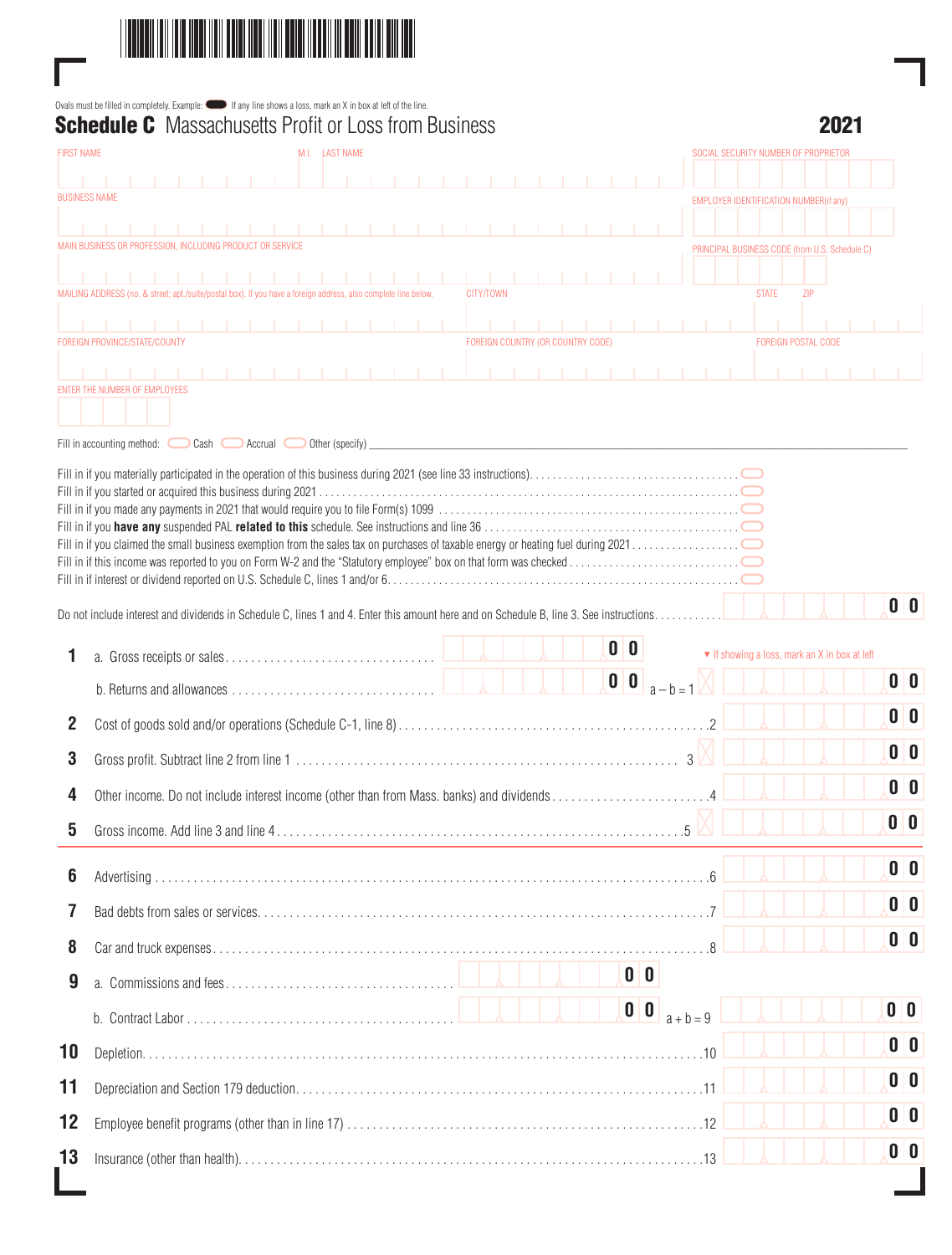

Γ

|                   | <b>Schedule C</b> Massachusetts Profit or Loss from Business                                                                           |                                                | 2N21           |
|-------------------|----------------------------------------------------------------------------------------------------------------------------------------|------------------------------------------------|----------------|
| <b>FIRST NAME</b> | M.I. LAST NAME                                                                                                                         | SOCIAL SECURITY NUMBER OF PROPRIETOR           |                |
|                   | <b>BUSINESS NAME</b>                                                                                                                   | <b>EMPLOYER IDENTIFICATION NUMBER(if any)</b>  |                |
|                   |                                                                                                                                        |                                                |                |
|                   | MAIN BUSINESS OR PROFESSION. INCLUDING PRODUCT OR SERVICE                                                                              | PRINCIPAL BUSINESS CODE (from U.S. Schedule C) |                |
|                   | MAILING ADDRESS (no. & street; apt./suite/postal box). If you have a foreign address, also complete line below.<br>CITY/TOWN           | <b>STATE</b>                                   | ZIP            |
|                   |                                                                                                                                        |                                                |                |
|                   | FOREIGN COUNTRY (OR COUNTRY CODE)<br>FOREIGN PROVINCE/STATE/COUNTY                                                                     | FOREIGN POSTAL CODE                            |                |
|                   | ENTER THE NUMBER OF EMPLOYEES<br>Fill in accounting method: $\bigcirc$ Cash $\bigcirc$ Accrual $\bigcirc$ Other (specify)              |                                                |                |
|                   |                                                                                                                                        |                                                |                |
|                   | Do not include interest and dividends in Schedule C, lines 1 and 4. Enter this amount here and on Schedule B, line 3. See instructions |                                                | 0 <sup>0</sup> |
|                   | $\mathbf{0}$ $\mathbf{0}$                                                                                                              |                                                |                |
| 1                 | $\mathbf{0}$ $\mathbf{0}$<br>$a - b = 1$                                                                                               | ▼ If showing a loss, mark an X in box at left  | 0 <sup>0</sup> |
|                   |                                                                                                                                        |                                                | 0 0            |
| 2                 |                                                                                                                                        |                                                | 0 <sup>0</sup> |
| 3                 |                                                                                                                                        |                                                |                |
| 4                 | Other income. Do not include interest income (other than from Mass. banks) and dividends                                               |                                                | 0 <sup>0</sup> |
| 5                 |                                                                                                                                        |                                                | 0 <sup>0</sup> |
| 6                 |                                                                                                                                        |                                                | 0 <sup>0</sup> |
| 7                 |                                                                                                                                        |                                                | 0 <sup>0</sup> |
| 8                 |                                                                                                                                        |                                                | 0 <sup>0</sup> |
|                   | 0 <sup>0</sup>                                                                                                                         |                                                |                |
| 9                 |                                                                                                                                        |                                                | 0 <sup>0</sup> |
|                   | $\begin{array}{ c c c }\n\hline\n0 & 0 \\ \hline\n\end{array}$                                                                         | $a + b = 9$                                    |                |
| 10                |                                                                                                                                        |                                                | 0 <sup>o</sup> |
| 11                |                                                                                                                                        |                                                | 0 <sup>0</sup> |
| 12                |                                                                                                                                        |                                                | 0 0            |
| 13                |                                                                                                                                        |                                                | 0 <sup>0</sup> |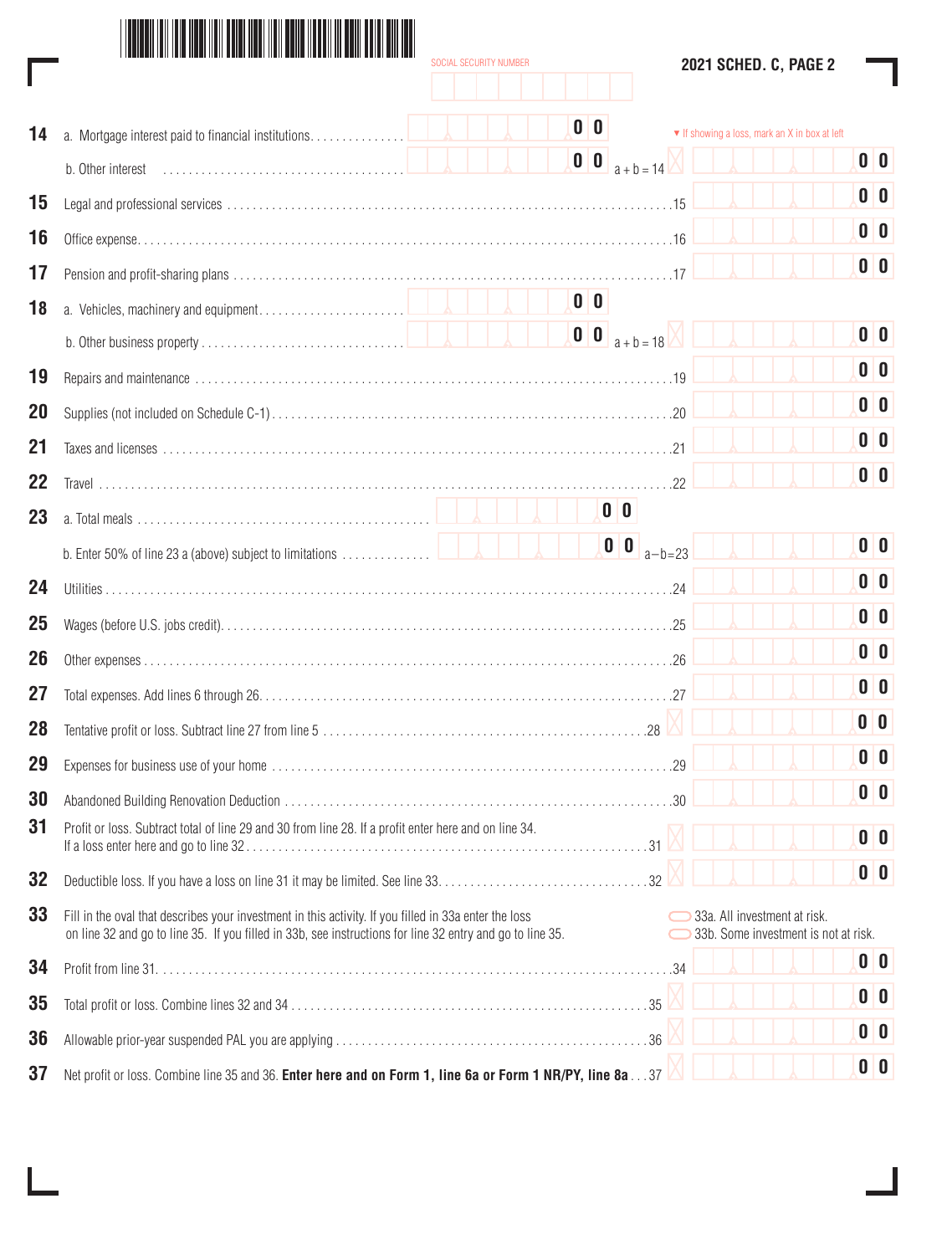|  | 2021 Sched. C, Page 2 |  |  |  |
|--|-----------------------|--|--|--|
|--|-----------------------|--|--|--|

|    | SOCIAL SECURITY NUMBER                                                                                                                                                                                             | 2021 SCHED. C, PAGE 2                                                |  |  |  |  |  |  |  |  |
|----|--------------------------------------------------------------------------------------------------------------------------------------------------------------------------------------------------------------------|----------------------------------------------------------------------|--|--|--|--|--|--|--|--|
|    |                                                                                                                                                                                                                    |                                                                      |  |  |  |  |  |  |  |  |
| 14 | 0 <sup>o</sup><br>a. Mortgage interest paid to financial institutions.                                                                                                                                             | ▼ If showing a loss, mark an X in box at left                        |  |  |  |  |  |  |  |  |
|    | $\mathbf{0}$ $\mathbf{0}$                                                                                                                                                                                          | 0 <sup>0</sup><br>$a + b = 14$                                       |  |  |  |  |  |  |  |  |
| 15 |                                                                                                                                                                                                                    | 0 <sup>0</sup>                                                       |  |  |  |  |  |  |  |  |
| 16 |                                                                                                                                                                                                                    | 0 <sup>0</sup>                                                       |  |  |  |  |  |  |  |  |
| 17 |                                                                                                                                                                                                                    | 0 <sup>0</sup>                                                       |  |  |  |  |  |  |  |  |
| 18 | 0 <sup>0</sup>                                                                                                                                                                                                     |                                                                      |  |  |  |  |  |  |  |  |
|    | $\begin{array}{ c c c }\n\hline\n0 & 0 & a + b = 18\n\end{array}$                                                                                                                                                  | 0 <sup>0</sup>                                                       |  |  |  |  |  |  |  |  |
| 19 |                                                                                                                                                                                                                    | 0 <sup>0</sup>                                                       |  |  |  |  |  |  |  |  |
| 20 |                                                                                                                                                                                                                    | 0 <sup>0</sup>                                                       |  |  |  |  |  |  |  |  |
| 21 |                                                                                                                                                                                                                    | 0 <sup>o</sup>                                                       |  |  |  |  |  |  |  |  |
| 22 |                                                                                                                                                                                                                    | 0 <sup>0</sup>                                                       |  |  |  |  |  |  |  |  |
| 23 | 0 <sub>0</sub>                                                                                                                                                                                                     |                                                                      |  |  |  |  |  |  |  |  |
|    | $\begin{array}{ c c c }\n\hline\n0 & 0 \\ \hline\n\end{array}$<br>b. Enter 50% of line 23 a (above) subject to limitations                                                                                         | 0 <sup>0</sup><br>$a-b=23$                                           |  |  |  |  |  |  |  |  |
| 24 |                                                                                                                                                                                                                    | 0 <sup>0</sup>                                                       |  |  |  |  |  |  |  |  |
| 25 |                                                                                                                                                                                                                    | 0 <sup>0</sup>                                                       |  |  |  |  |  |  |  |  |
| 26 |                                                                                                                                                                                                                    | 0 <sup>o</sup>                                                       |  |  |  |  |  |  |  |  |
| 27 |                                                                                                                                                                                                                    | 0 <sup>0</sup>                                                       |  |  |  |  |  |  |  |  |
| 28 |                                                                                                                                                                                                                    | 0 <sup>0</sup>                                                       |  |  |  |  |  |  |  |  |
| 29 |                                                                                                                                                                                                                    | 0 <sup>0</sup><br>29                                                 |  |  |  |  |  |  |  |  |
| 30 |                                                                                                                                                                                                                    | 0 <sup>0</sup>                                                       |  |  |  |  |  |  |  |  |
| 31 | Profit or loss. Subtract total of line 29 and 30 from line 28. If a profit enter here and on line 34.                                                                                                              | 0 <sup>o</sup>                                                       |  |  |  |  |  |  |  |  |
| 32 |                                                                                                                                                                                                                    | 0 <sup>o</sup>                                                       |  |  |  |  |  |  |  |  |
| 33 | Fill in the oval that describes your investment in this activity. If you filled in 33a enter the loss<br>on line 32 and go to line 35. If you filled in 33b, see instructions for line 32 entry and go to line 35. | 33a. All investment at risk.<br>33b. Some investment is not at risk. |  |  |  |  |  |  |  |  |
| 34 |                                                                                                                                                                                                                    | 0 <sup>0</sup>                                                       |  |  |  |  |  |  |  |  |
| 35 |                                                                                                                                                                                                                    | 0 <sup>0</sup>                                                       |  |  |  |  |  |  |  |  |
| 36 |                                                                                                                                                                                                                    | 0 <sup>0</sup>                                                       |  |  |  |  |  |  |  |  |
| 37 | Net profit or loss. Combine line 35 and 36. Enter here and on Form 1, line 6a or Form 1 NR/PY, line 8a37                                                                                                           | 0 <sup>0</sup>                                                       |  |  |  |  |  |  |  |  |